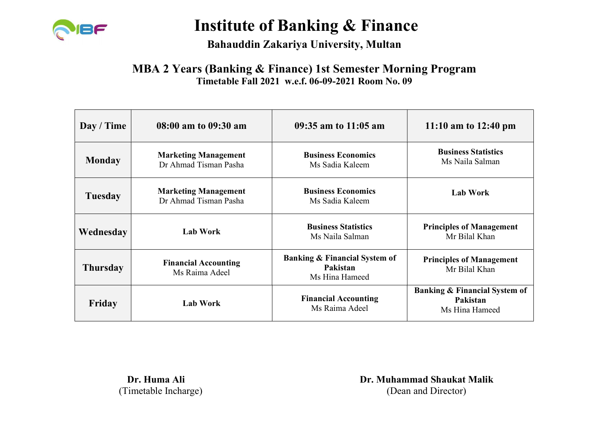

Bahauddin Zakariya University, Multan

#### MBA 2 Years (Banking & Finance) 1st Semester Morning Program Timetable Fall 2021 w.e.f. 06-09-2021 Room No. 09

| Day / Time      | 08:00 am to 09:30 am                                 | 09:35 am to 11:05 am                                                   | 11:10 am to $12:40 \text{ pm}$                                         |
|-----------------|------------------------------------------------------|------------------------------------------------------------------------|------------------------------------------------------------------------|
| <b>Monday</b>   | <b>Marketing Management</b><br>Dr Ahmad Tisman Pasha | <b>Business Economics</b><br>Ms Sadia Kaleem                           | <b>Business Statistics</b><br>Ms Naila Salman                          |
| <b>Tuesday</b>  | <b>Marketing Management</b><br>Dr Ahmad Tisman Pasha | <b>Business Economics</b><br>Ms Sadia Kaleem                           | <b>Lab Work</b>                                                        |
| Wednesday       | <b>Lab Work</b>                                      | <b>Business Statistics</b><br>Ms Naila Salman                          | <b>Principles of Management</b><br>Mr Bilal Khan                       |
| <b>Thursday</b> | <b>Financial Accounting</b><br>Ms Raima Adeel        | <b>Banking &amp; Financial System of</b><br>Pakistan<br>Ms Hina Hameed | <b>Principles of Management</b><br>Mr Bilal Khan                       |
| Friday          | <b>Lab Work</b>                                      | <b>Financial Accounting</b><br>Ms Raima Adeel                          | <b>Banking &amp; Financial System of</b><br>Pakistan<br>Ms Hina Hameed |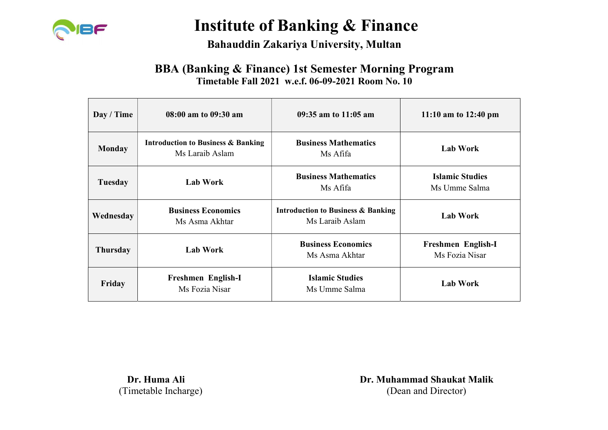

#### Bahauddin Zakariya University, Multan

#### BBA (Banking & Finance) 1st Semester Morning Program Timetable Fall 2021 w.e.f. 06-09-2021 Room No. 10

| Day / Time     | 08:00 am to 09:30 am                                             | 09:35 am to 11:05 am                                                                | 11:10 am to $12:40 \text{ pm}$ |
|----------------|------------------------------------------------------------------|-------------------------------------------------------------------------------------|--------------------------------|
| <b>Monday</b>  | <b>Introduction to Business &amp; Banking</b><br>Ms Laraib Aslam | <b>Business Mathematics</b><br><b>Lab Work</b><br>Ms Afifa                          |                                |
| <b>Tuesday</b> | <b>Lab Work</b>                                                  | <b>Business Mathematics</b><br><b>Islamic Studies</b><br>Ms Umme Salma<br>Ms Afifa  |                                |
| Wednesday      | <b>Business Economics</b><br>Ms Asma Akhtar                      | <b>Introduction to Business &amp; Banking</b><br>Ms Laraib Aslam                    | Lab Work                       |
| Thursday       | <b>Lab Work</b>                                                  | <b>Business Economics</b><br>Freshmen English-I<br>Ms Fozia Nisar<br>Ms Asma Akhtar |                                |
| Friday         | Freshmen English-I<br>Ms Fozia Nisar                             | <b>Islamic Studies</b><br><b>Lab Work</b><br>Ms Umme Salma                          |                                |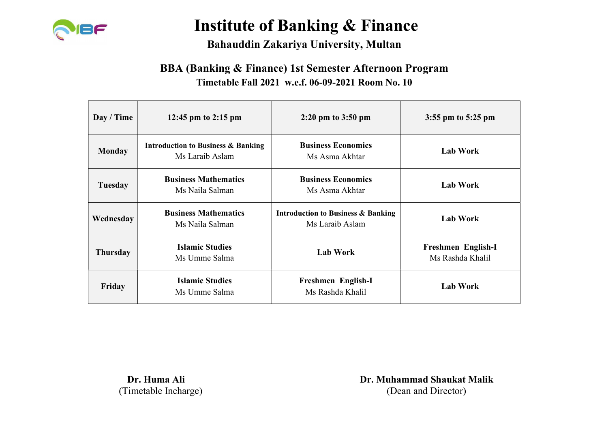

### Bahauddin Zakariya University, Multan

### BBA (Banking & Finance) 1st Semester Afternoon Program Timetable Fall 2021 w.e.f. 06-09-2021 Room No. 10

| Day / Time    | 12:45 pm to 2:15 pm                                              | $2:20 \text{ pm}$ to $3:50 \text{ pm}$                           | 3:55 pm to $5:25$ pm                   |
|---------------|------------------------------------------------------------------|------------------------------------------------------------------|----------------------------------------|
| <b>Monday</b> | <b>Introduction to Business &amp; Banking</b><br>Ms Laraib Aslam | <b>Business Economics</b><br>Ms Asma Akhtar                      | <b>Lab Work</b>                        |
| Tuesday       | <b>Business Mathematics</b><br>Ms Naila Salman                   | <b>Business Economics</b><br>Ms Asma Akhtar                      | <b>Lab Work</b>                        |
| Wednesday     | <b>Business Mathematics</b><br>Ms Naila Salman                   | <b>Introduction to Business &amp; Banking</b><br>Ms Laraib Aslam | <b>Lab Work</b>                        |
| Thursday      | <b>Islamic Studies</b><br>Ms Umme Salma                          | Lab Work                                                         | Freshmen English-I<br>Ms Rashda Khalil |
| Friday        | <b>Islamic Studies</b><br>Ms Umme Salma                          | Freshmen English-I<br>Ms Rashda Khalil                           | <b>Lab Work</b>                        |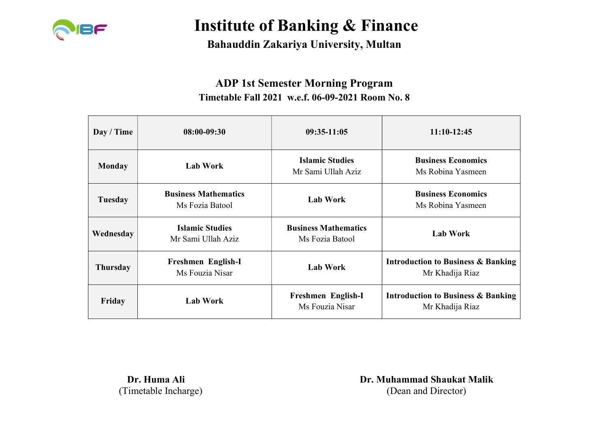

Bahauddin Zakariya University, Multan

### ADP 1st Semester Morning Program Timetable Fall 2021 w.e.f. 06-09-2021 Room No. 8

| Day / Time    | $08:00-09:30$                                  | $09:35-11:05$                                  | $11:10-12:45$                                                    |
|---------------|------------------------------------------------|------------------------------------------------|------------------------------------------------------------------|
| <b>Monday</b> | <b>Lab Work</b>                                | <b>Islamic Studies</b><br>Mr Sami Ullah Aziz   | <b>Business Economics</b><br>Ms Robina Yasmeen                   |
| Tuesday       | <b>Business Mathematics</b><br>Ms Fozia Batool | <b>Lab Work</b>                                | <b>Business Economics</b><br>Ms Robina Yasmeen                   |
| Wednesday     | <b>Islamic Studies</b><br>Mr Sami Ullah Aziz   | <b>Business Mathematics</b><br>Ms Fozia Batool | <b>Lab Work</b>                                                  |
| Thursday      | Freshmen English-I<br>Ms Fouzia Nisar          | <b>Lab Work</b>                                | Introduction to Business & Banking<br>Mr Khadija Riaz            |
| Friday        | <b>Lab Work</b>                                | Freshmen English-I<br>Ms Fouzia Nisar          | <b>Introduction to Business &amp; Banking</b><br>Mr Khadija Riaz |